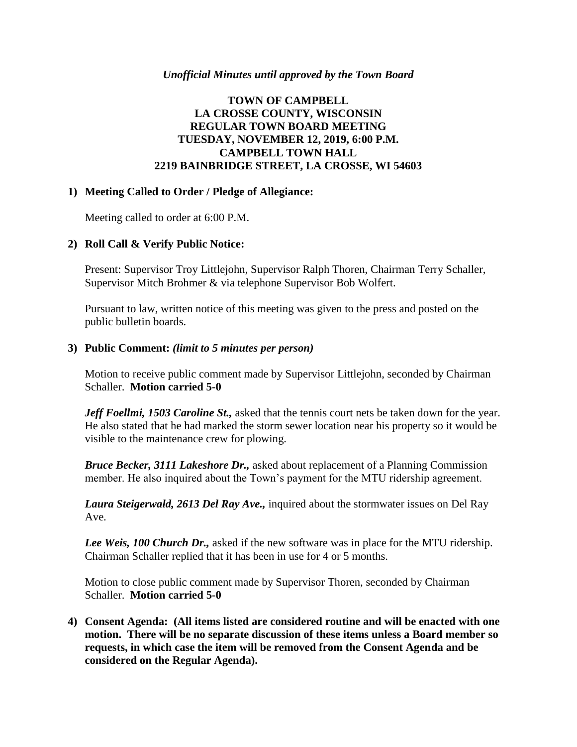## *Unofficial Minutes until approved by the Town Board*

# **TOWN OF CAMPBELL LA CROSSE COUNTY, WISCONSIN REGULAR TOWN BOARD MEETING TUESDAY, NOVEMBER 12, 2019, 6:00 P.M. CAMPBELL TOWN HALL 2219 BAINBRIDGE STREET, LA CROSSE, WI 54603**

## **1) Meeting Called to Order / Pledge of Allegiance:**

Meeting called to order at 6:00 P.M.

## **2) Roll Call & Verify Public Notice:**

Present: Supervisor Troy Littlejohn, Supervisor Ralph Thoren, Chairman Terry Schaller, Supervisor Mitch Brohmer & via telephone Supervisor Bob Wolfert.

Pursuant to law, written notice of this meeting was given to the press and posted on the public bulletin boards.

## **3) Public Comment:** *(limit to 5 minutes per person)*

Motion to receive public comment made by Supervisor Littlejohn, seconded by Chairman Schaller. **Motion carried 5-0**

*Jeff Foellmi, 1503 Caroline St.,* asked that the tennis court nets be taken down for the year. He also stated that he had marked the storm sewer location near his property so it would be visible to the maintenance crew for plowing.

*Bruce Becker, 3111 Lakeshore Dr.,* asked about replacement of a Planning Commission member. He also inquired about the Town's payment for the MTU ridership agreement.

*Laura Steigerwald, 2613 Del Ray Ave.,* inquired about the stormwater issues on Del Ray Ave.

*Lee Weis, 100 Church Dr.,* asked if the new software was in place for the MTU ridership. Chairman Schaller replied that it has been in use for 4 or 5 months.

Motion to close public comment made by Supervisor Thoren, seconded by Chairman Schaller. **Motion carried 5-0**

**4) Consent Agenda: (All items listed are considered routine and will be enacted with one motion. There will be no separate discussion of these items unless a Board member so requests, in which case the item will be removed from the Consent Agenda and be considered on the Regular Agenda).**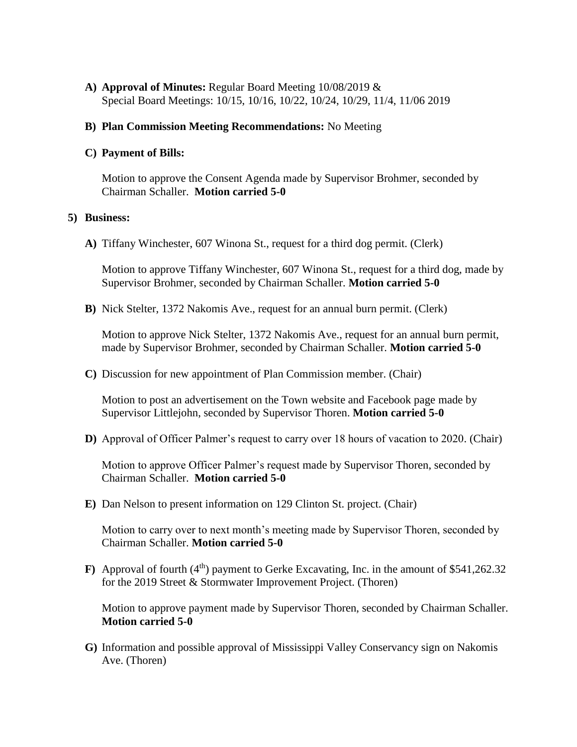**A) Approval of Minutes:** Regular Board Meeting 10/08/2019 & Special Board Meetings: 10/15, 10/16, 10/22, 10/24, 10/29, 11/4, 11/06 2019

### **B) Plan Commission Meeting Recommendations:** No Meeting

#### **C) Payment of Bills:**

Motion to approve the Consent Agenda made by Supervisor Brohmer, seconded by Chairman Schaller. **Motion carried 5-0** 

#### **5) Business:**

**A)** Tiffany Winchester, 607 Winona St., request for a third dog permit. (Clerk)

Motion to approve Tiffany Winchester, 607 Winona St., request for a third dog, made by Supervisor Brohmer, seconded by Chairman Schaller. **Motion carried 5-0**

**B)** Nick Stelter, 1372 Nakomis Ave., request for an annual burn permit. (Clerk)

Motion to approve Nick Stelter, 1372 Nakomis Ave., request for an annual burn permit, made by Supervisor Brohmer, seconded by Chairman Schaller. **Motion carried 5-0**

**C)** Discussion for new appointment of Plan Commission member. (Chair)

Motion to post an advertisement on the Town website and Facebook page made by Supervisor Littlejohn, seconded by Supervisor Thoren. **Motion carried 5-0**

**D)** Approval of Officer Palmer's request to carry over 18 hours of vacation to 2020. (Chair)

Motion to approve Officer Palmer's request made by Supervisor Thoren, seconded by Chairman Schaller. **Motion carried 5-0** 

**E)** Dan Nelson to present information on 129 Clinton St. project. (Chair)

Motion to carry over to next month's meeting made by Supervisor Thoren, seconded by Chairman Schaller. **Motion carried 5-0**

**F**) Approval of fourth  $(4<sup>th</sup>)$  payment to Gerke Excavating, Inc. in the amount of \$541,262.32 for the 2019 Street & Stormwater Improvement Project. (Thoren)

Motion to approve payment made by Supervisor Thoren, seconded by Chairman Schaller. **Motion carried 5-0**

**G)** Information and possible approval of Mississippi Valley Conservancy sign on Nakomis Ave. (Thoren)